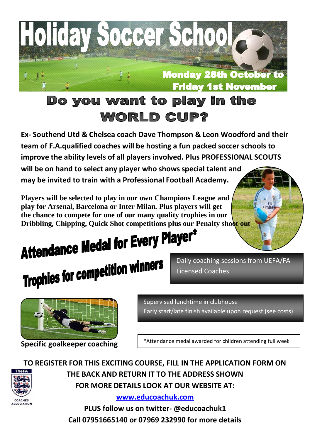

**Ex- Southend Utd & Chelsea coach Dave Thompson & Leon Woodford and their team of F.A.qualified coaches will be hosting a fun packed soccer schools to improve the ability levels of all players involved. Plus PROFESSIONAL SCOUTS** 

**will be on hand to select any player who shows special talent and may be invited to train with a Professional Football Academy.**

**Players will be selected to play in our own Champions League and play for Arsenal, Barcelona or Inter Milan. Plus players will get the chance to compete for one of our many quality trophies in our** 

## Dribbling, Chipping, Quick Shot competitions plus our Penalty showt out<br>**Attendance Medal for Every Player\* Attenualism**<br>Trophies for competition winners

Daily coaching sessions from UEFA/FA Licensed Coaches

rw<br>Fmirał



**Specific goalkeeper coaching**

COACHES

Supervised lunchtime in clubhouse Early start/late finish available upon request (see costs)

\*Attendance medal awarded for children attending full week

**TO REGISTER FOR THIS EXCITING COURSE, FILL IN THE APPLICATION FORM ON THE BACK AND RETURN IT TO THE ADDRESS SHOWN FOR MORE DETAILS LOOK AT OUR WEBSITE AT:**

**[www.educoachuk.com](http://www.educoachuk.com/)**

**PLUS follow us on twitter- @educoachuk1 Call 07951665140 or 07969 232990 for more details**